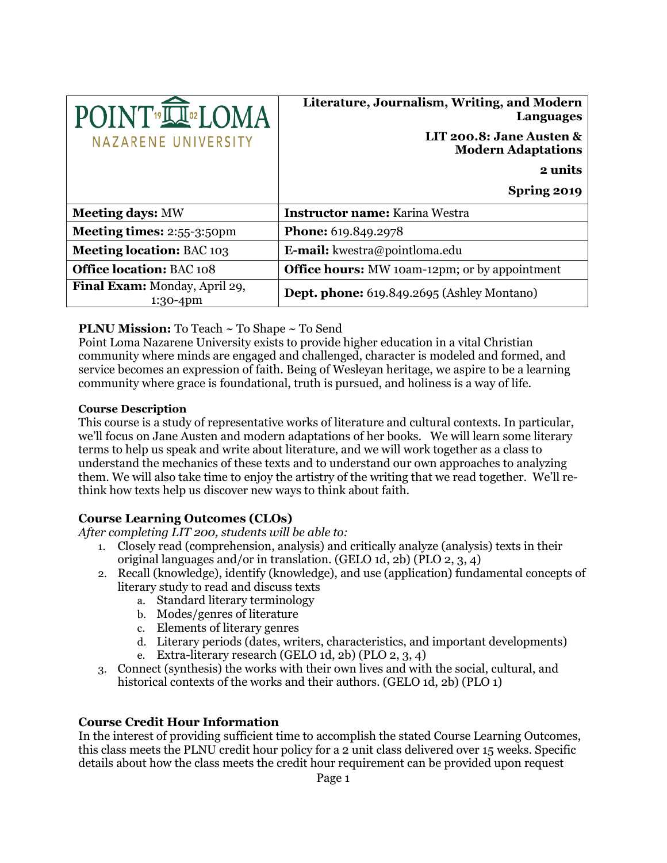| POINT <sup>19</sup> LU <sup>02</sup> LOMA<br>NAZARENE UNIVERSITY | Literature, Journalism, Writing, and Modern<br><b>Languages</b><br>LIT 200.8: Jane Austen $\&$<br><b>Modern Adaptations</b><br>2 units |
|------------------------------------------------------------------|----------------------------------------------------------------------------------------------------------------------------------------|
|                                                                  |                                                                                                                                        |
|                                                                  | Spring 2019                                                                                                                            |
| <b>Meeting days: MW</b>                                          | Instructor name: Karina Westra                                                                                                         |
| <b>Meeting times: 2:55-3:50pm</b>                                | Phone: 619.849.2978                                                                                                                    |
| <b>Meeting location: BAC 103</b>                                 | <b>E-mail:</b> kwestra@pointloma.edu                                                                                                   |
| <b>Office location: BAC 108</b>                                  | <b>Office hours:</b> MW 10am-12pm; or by appointment                                                                                   |
| Final Exam: Monday, April 29,<br>$1:30-4$ pm                     | Dept. phone: 619.849.2695 (Ashley Montano)                                                                                             |

#### **PLNU Mission:** To Teach ~ To Shape ~ To Send

Point Loma Nazarene University exists to provide higher education in a vital Christian community where minds are engaged and challenged, character is modeled and formed, and service becomes an expression of faith. Being of Wesleyan heritage, we aspire to be a learning community where grace is foundational, truth is pursued, and holiness is a way of life.

#### **Course Description**

This course is a study of representative works of literature and cultural contexts. In particular, we'll focus on Jane Austen and modern adaptations of her books. We will learn some literary terms to help us speak and write about literature, and we will work together as a class to understand the mechanics of these texts and to understand our own approaches to analyzing them. We will also take time to enjoy the artistry of the writing that we read together. We'll rethink how texts help us discover new ways to think about faith.

## **Course Learning Outcomes (CLOs)**

*After completing LIT 200, students will be able to:*

- 1. Closely read (comprehension, analysis) and critically analyze (analysis) texts in their original languages and/or in translation. (GELO 1d, 2b) (PLO 2, 3, 4)
- 2. Recall (knowledge), identify (knowledge), and use (application) fundamental concepts of literary study to read and discuss texts
	- a. Standard literary terminology
	- b. Modes/genres of literature
	- c. Elements of literary genres
	- d. Literary periods (dates, writers, characteristics, and important developments)
	- e. Extra-literary research (GELO 1d, 2b) (PLO 2, 3, 4)
- 3. Connect (synthesis) the works with their own lives and with the social, cultural, and historical contexts of the works and their authors. (GELO 1d, 2b) (PLO 1)

#### **Course Credit Hour Information**

In the interest of providing sufficient time to accomplish the stated Course Learning Outcomes, this class meets the PLNU credit hour policy for a 2 unit class delivered over 15 weeks. Specific details about how the class meets the credit hour requirement can be provided upon request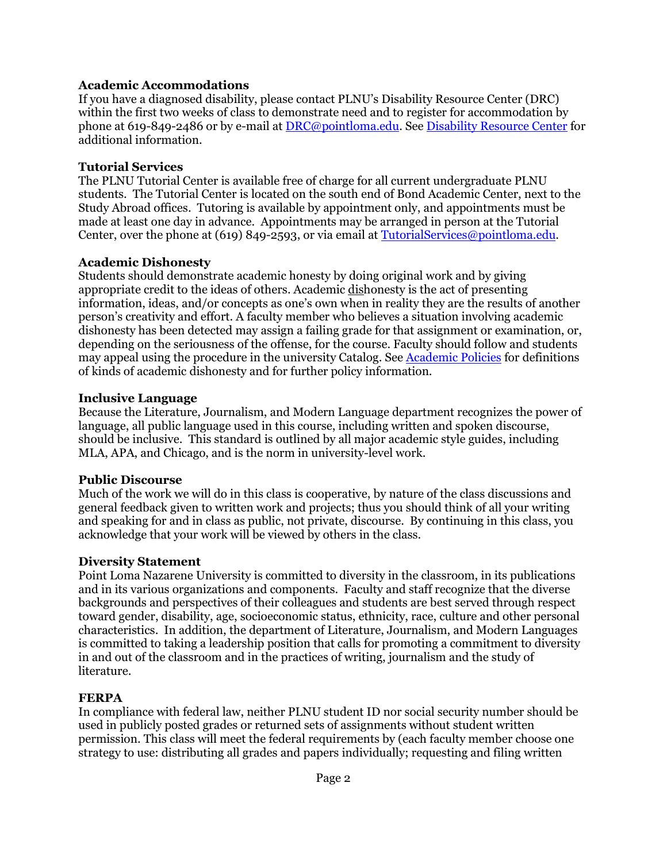#### **Academic Accommodations**

If you have a diagnosed disability, please contact PLNU's Disability Resource Center (DRC) within the first two weeks of class to demonstrate need and to register for accommodation by phone at 619-849-2486 or by e-mail at [DRC@pointloma.edu.](mailto:DRC@pointloma.edu) See [Disability Resource Center](http://www.pointloma.edu/experience/offices/administrative-offices/academic-advising-office/disability-resource-center) for additional information.

#### **Tutorial Services**

The PLNU Tutorial Center is available free of charge for all current undergraduate PLNU students. The Tutorial Center is located on the south end of Bond Academic Center, next to the Study Abroad offices. Tutoring is available by appointment only, and appointments must be made at least one day in advance. Appointments may be arranged in person at the Tutorial Center, over the phone at (619) 849-2593, or via email at [TutorialServices@pointloma.edu.](mailto:TutorialServices@pointloma.edu)

#### **Academic Dishonesty**

Students should demonstrate academic honesty by doing original work and by giving appropriate credit to the ideas of others. Academic dishonesty is the act of presenting information, ideas, and/or concepts as one's own when in reality they are the results of another person's creativity and effort. A faculty member who believes a situation involving academic dishonesty has been detected may assign a failing grade for that assignment or examination, or, depending on the seriousness of the offense, for the course. Faculty should follow and students may appeal using the procedure in the university Catalog. See [Academic Policies](http://catalog.pointloma.edu/content.php?catoid=18&navoid=1278) for definitions of kinds of academic dishonesty and for further policy information.

#### **Inclusive Language**

Because the Literature, Journalism, and Modern Language department recognizes the power of language, all public language used in this course, including written and spoken discourse, should be inclusive. This standard is outlined by all major academic style guides, including MLA, APA, and Chicago, and is the norm in university-level work.

## **Public Discourse**

Much of the work we will do in this class is cooperative, by nature of the class discussions and general feedback given to written work and projects; thus you should think of all your writing and speaking for and in class as public, not private, discourse. By continuing in this class, you acknowledge that your work will be viewed by others in the class.

## **Diversity Statement**

Point Loma Nazarene University is committed to diversity in the classroom, in its publications and in its various organizations and components. Faculty and staff recognize that the diverse backgrounds and perspectives of their colleagues and students are best served through respect toward gender, disability, age, socioeconomic status, ethnicity, race, culture and other personal characteristics. In addition, the department of Literature, Journalism, and Modern Languages is committed to taking a leadership position that calls for promoting a commitment to diversity in and out of the classroom and in the practices of writing, journalism and the study of literature.

## **FERPA**

In compliance with federal law, neither PLNU student ID nor social security number should be used in publicly posted grades or returned sets of assignments without student written permission. This class will meet the federal requirements by (each faculty member choose one strategy to use: distributing all grades and papers individually; requesting and filing written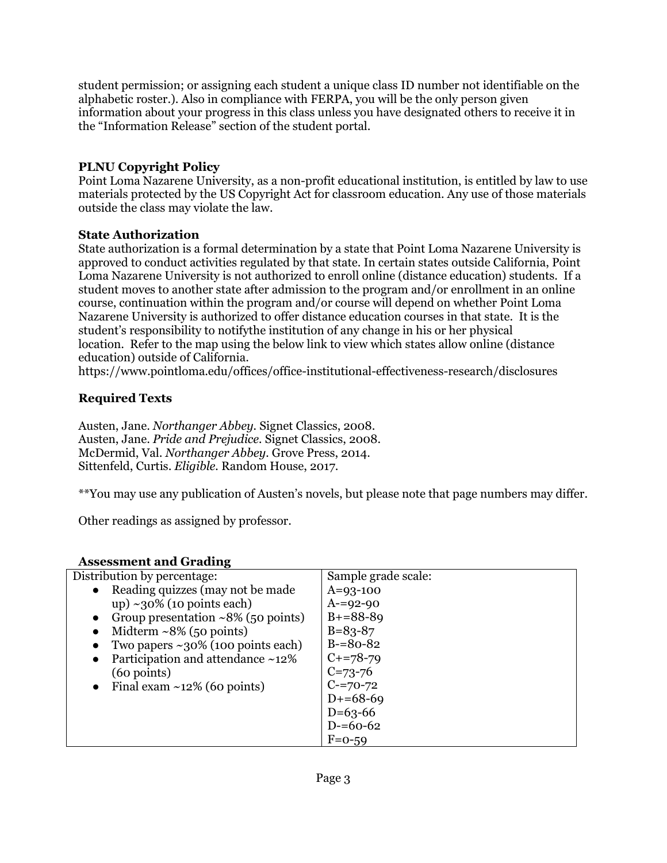student permission; or assigning each student a unique class ID number not identifiable on the alphabetic roster.). Also in compliance with FERPA, you will be the only person given information about your progress in this class unless you have designated others to receive it in the "Information Release" section of the student portal.

## **PLNU Copyright Policy**

Point Loma Nazarene University, as a non-profit educational institution, is entitled by law to use materials protected by the US Copyright Act for classroom education. Any use of those materials outside the class may violate the law.

## **State Authorization**

State authorization is a formal determination by a state that Point Loma Nazarene University is approved to conduct activities regulated by that state. In certain states outside California, Point Loma Nazarene University is not authorized to enroll online (distance education) students. If a student moves to another state after admission to the program and/or enrollment in an online course, continuation within the program and/or course will depend on whether Point Loma Nazarene University is authorized to offer distance education courses in that state. It is the student's responsibility to notifythe institution of any change in his or her physical location. Refer to the map using the below link to view which states allow online (distance education) outside of California.

<https://www.pointloma.edu/offices/office-institutional-effectiveness-research/disclosures>

## **Required Texts**

Austen, Jane. *Northanger Abbey.* Signet Classics, 2008. Austen, Jane. *Pride and Prejudice.* Signet Classics, 2008. McDermid, Val. *Northanger Abbey.* Grove Press, 2014. Sittenfeld, Curtis. *Eligible.* Random House, 2017.

\*\*You may use any publication of Austen's novels, but please note that page numbers may differ.

Other readings as assigned by professor.

## **Assessment and Grading**

| Distribution by percentage:                            | Sample grade scale: |
|--------------------------------------------------------|---------------------|
| Reading quizzes (may not be made<br>$\bullet$          | $A=93-100$          |
| up) ~30% (10 points each)                              | $A = 92 - 90$       |
| Group presentation $\sim 8\%$ (50 points)<br>$\bullet$ | $B+=88-89$          |
| Midterm $\sim 8\%$ (50 points)<br>$\bullet$            | $B = 83 - 87$       |
| Two papers $\sim$ 30% (100 points each)<br>$\bullet$   | $B = 80 - 82$       |
| Participation and attendance ~12%<br>$\bullet$         | $C+=78-79$          |
| $(60 \text{ points})$                                  | $C = 73 - 76$       |
| Final exam $\sim$ 12% (60 points)<br>$\bullet$         | $C = 70 - 72$       |
|                                                        | $D+=68-69$          |
|                                                        | $D=63-66$           |
|                                                        | $D = 60 - 62$       |
|                                                        | $F=0-59$            |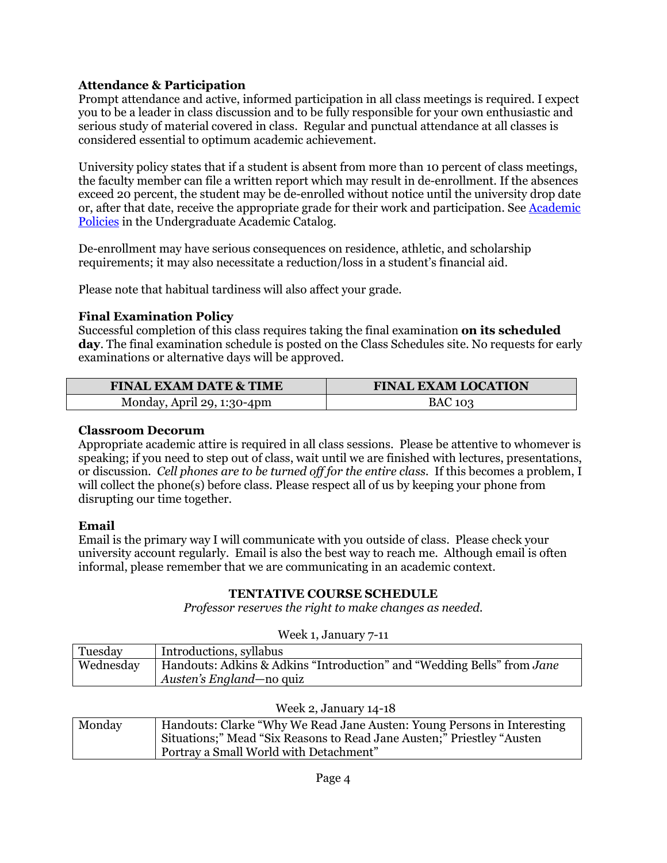## **Attendance & Participation**

Prompt attendance and active, informed participation in all class meetings is required. I expect you to be a leader in class discussion and to be fully responsible for your own enthusiastic and serious study of material covered in class. Regular and punctual attendance at all classes is considered essential to optimum academic achievement.

University policy states that if a student is absent from more than 10 percent of class meetings, the faculty member can file a written report which may result in de-enrollment. If the absences exceed 20 percent, the student may be de-enrolled without notice until the university drop date or, after that date, receive the appropriate grade for their work and participation. Se[e Academic](http://catalog.pointloma.edu/content.php?catoid=18&navoid=1278)  [Policies](http://catalog.pointloma.edu/content.php?catoid=18&navoid=1278) in the Undergraduate Academic Catalog.

De-enrollment may have serious consequences on residence, athletic, and scholarship requirements; it may also necessitate a reduction/loss in a student's financial aid.

Please note that habitual tardiness will also affect your grade.

## **Final Examination Policy**

Successful completion of this class requires taking the final examination **on its scheduled day**. The final examination schedule is posted on the Class Schedules site. No requests for early examinations or alternative days will be approved.

| <b>FINAL EXAM DATE &amp; TIME</b> | <b>FINAL EXAM LOCATION</b> |  |
|-----------------------------------|----------------------------|--|
| Monday, April 29, 1:30-4pm        | <b>BAC 103</b>             |  |

#### **Classroom Decorum**

Appropriate academic attire is required in all class sessions. Please be attentive to whomever is speaking; if you need to step out of class, wait until we are finished with lectures, presentations, or discussion*. Cell phones are to be turned off for the entire class.* If this becomes a problem, I will collect the phone(s) before class. Please respect all of us by keeping your phone from disrupting our time together.

#### **Email**

Email is the primary way I will communicate with you outside of class. Please check your university account regularly. Email is also the best way to reach me. Although email is often informal, please remember that we are communicating in an academic context.

#### **TENTATIVE COURSE SCHEDULE**

*Professor reserves the right to make changes as needed.*

| Week 1, January 7-11 |                                                                        |
|----------------------|------------------------------------------------------------------------|
| Tuesday              | Introductions, syllabus                                                |
| Wednesday            | Handouts: Adkins & Adkins "Introduction" and "Wedding Bells" from Jane |
|                      | Austen's England—no quiz                                               |

| Week 2, January 14-18 |                                                                         |
|-----------------------|-------------------------------------------------------------------------|
| Monday                | Handouts: Clarke "Why We Read Jane Austen: Young Persons in Interesting |
|                       | Situations;" Mead "Six Reasons to Read Jane Austen;" Priestley "Austen" |
|                       | Portray a Small World with Detachment"                                  |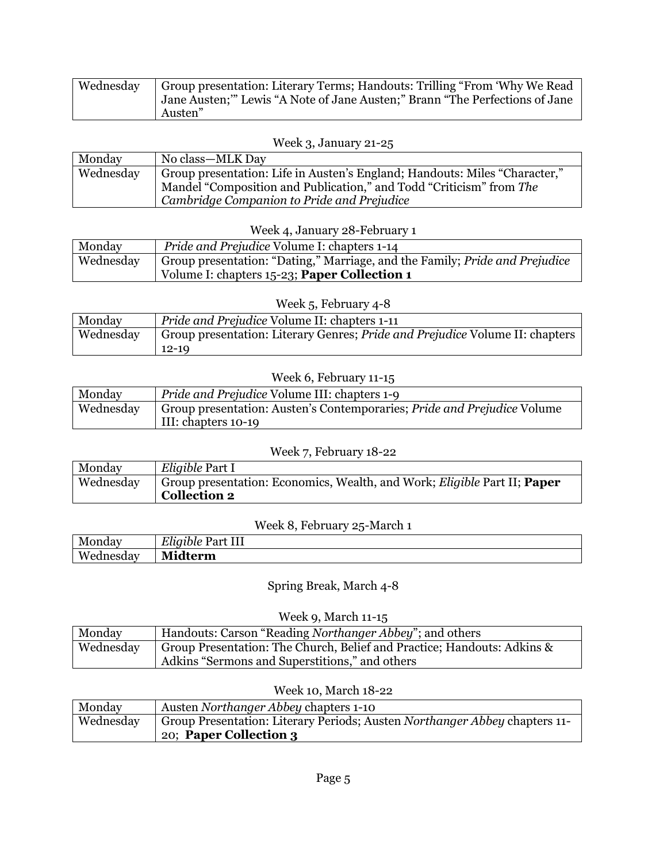| <b>Wednesday</b> | Group presentation: Literary Terms; Handouts: Trilling "From 'Why We Read   |
|------------------|-----------------------------------------------------------------------------|
|                  | Jane Austen;" Lewis "A Note of Jane Austen;" Brann "The Perfections of Jane |
|                  | Austen"                                                                     |

#### Week 3, January 21-25

| Monday    | No class—MLK Day                                                           |
|-----------|----------------------------------------------------------------------------|
| Wednesday | Group presentation: Life in Austen's England; Handouts: Miles "Character," |
|           | Mandel "Composition and Publication," and Todd "Criticism" from The        |
|           | Cambridge Companion to Pride and Prejudice                                 |

## Week 4, January 28-February 1

| Monday    | <i>Pride and Prejudice Volume I: chapters 1-14</i>                                 |
|-----------|------------------------------------------------------------------------------------|
| Wednesday | Group presentation: "Dating," Marriage, and the Family; <i>Pride and Prejudice</i> |
|           | Volume I: chapters 15-23; Paper Collection 1                                       |

## Week 5, February 4-8

| Monday    | Pride and Prejudice Volume II: chapters 1-11                                 |
|-----------|------------------------------------------------------------------------------|
| Wednesday | Group presentation: Literary Genres; Pride and Prejudice Volume II: chapters |
|           | $12 - 19$                                                                    |

#### Week 6, February 11-15

| Monday    | <i>Pride and Prejudice Volume III: chapters 1-9</i>                            |
|-----------|--------------------------------------------------------------------------------|
| Wednesday | Group presentation: Austen's Contemporaries; <i>Pride and Prejudice</i> Volume |
|           | III: chapters 10-19                                                            |

## Week 7, February 18-22

| Monday    | Eligible Part I                                                                        |
|-----------|----------------------------------------------------------------------------------------|
| Wednesday | Group presentation: Economics, Wealth, and Work; <i>Eligible</i> Part II; <b>Paper</b> |
|           | <b>Collection 2</b>                                                                    |

## Week 8, February 25-March 1

| Monday    | $\overline{11}$<br>T T T<br>Part<br>Lligible<br>111 |
|-----------|-----------------------------------------------------|
| Wednesday | $- - -$<br>N.<br>dterm                              |

## Spring Break, March 4-8

#### Week 9, March 11-15

| Monday    | Handouts: Carson "Reading Northanger Abbey"; and others                 |
|-----------|-------------------------------------------------------------------------|
| Wednesday | Group Presentation: The Church, Belief and Practice; Handouts: Adkins & |
|           | Adkins "Sermons and Superstitions," and others                          |

### Week 10, March 18-22

| Monday    | Austen Northanger Abbey chapters 1-10                                      |
|-----------|----------------------------------------------------------------------------|
| Wednesday | Group Presentation: Literary Periods; Austen Northanger Abbey chapters 11- |
|           | 20; Paper Collection 3                                                     |